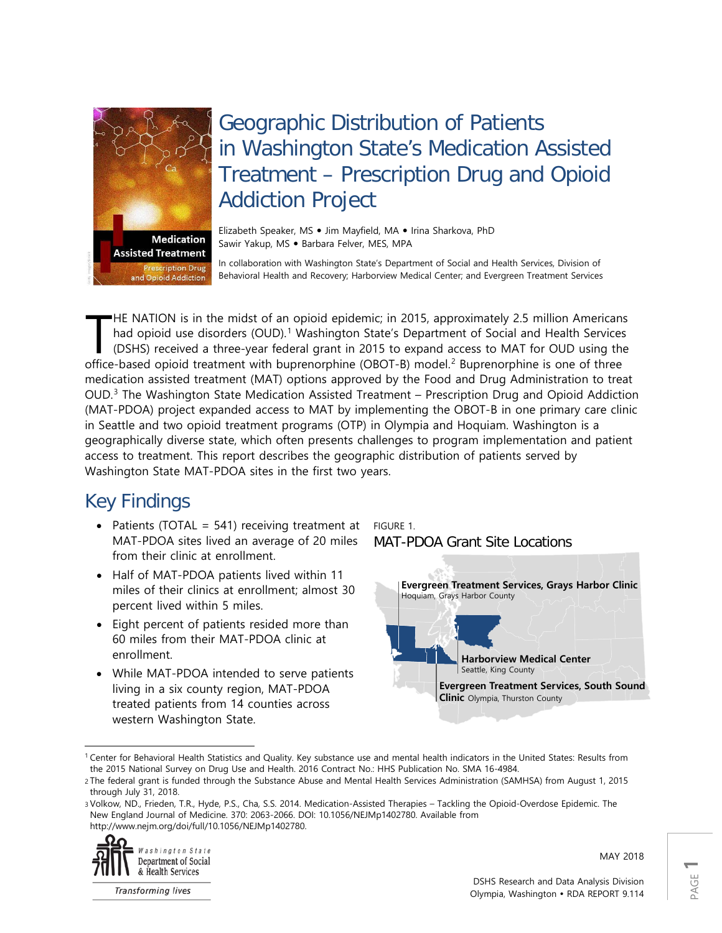

# Geographic Distribution of Patients in Washington State's Medication Assisted Treatment – Prescription Drug and Opioid Addiction Project

Elizabeth Speaker, MS · Jim Mayfield, MA · Irina Sharkova, PhD Sawir Yakup, MS · Barbara Felver, MES, MPA

In collaboration with Washington State's Department of Social and Health Services, Division of Behavioral Health and Recovery; Harborview Medical Center; and Evergreen Treatment Services

HE NATION is in the midst of an opioid epidemic; in 2015, approximately 2.5 million Americans had opioid use disorders (OUD).<sup>[1](#page-0-0)</sup> Washington State's Department of Social and Health Services (DSHS) received a three-year federal grant in 2015 to expand access to MAT for OUD using the HE NATION is in the midst of an opioid epidemic; in [2](#page-0-1)015, approximately 2.5 million Americans<br>had opioid use disorders (OUD).<sup>1</sup> Washington State's Department of Social and Health Services<br>(DSHS) received a three-year fede medication assisted treatment (MAT) options approved by the Food and Drug Administration to treat OUD.<sup>[3](#page-0-2)</sup> The Washington State Medication Assisted Treatment – Prescription Drug and Opioid Addiction (MAT-PDOA) project expanded access to MAT by implementing the OBOT-B in one primary care clinic in Seattle and two opioid treatment programs (OTP) in Olympia and Hoquiam. Washington is a geographically diverse state, which often presents challenges to program implementation and patient access to treatment. This report describes the geographic distribution of patients served by Washington State MAT-PDOA sites in the first two years.

## Key Findings

- Patients (TOTAL = 541) receiving treatment at MAT-PDOA sites lived an average of 20 miles from their clinic at enrollment.
- Half of MAT-PDOA patients lived within 11 miles of their clinics at enrollment; almost 30 percent lived within 5 miles.
- Eight percent of patients resided more than 60 miles from their MAT-PDOA clinic at enrollment.
- While MAT-PDOA intended to serve patients living in a six county region, MAT-PDOA treated patients from 14 counties across western Washington State.

FIGURE 1. MAT-PDOA Grant Site Locations



<span id="page-0-0"></span> $\overline{\phantom{a}}$ <sup>1</sup> Center for Behavioral Health Statistics and Quality. Key substance use and mental health indicators in the United States: Results from the 2015 National Survey on Drug Use and Health. 2016 Contract No.: HHS Publication No. SMA 16-4984.

<span id="page-0-2"></span><sup>3</sup> Volkow, ND., Frieden, T.R., Hyde, P.S., Cha, S.S. 2014. Medication-Assisted Therapies – Tackling the Opioid-Overdose Epidemic. The New England Journal of Medicine. 370: 2063-2066. DOI: 10.1056/NEJMp1402780. Available from http://www.nejm.org/doi/full/10.1056/NEJMp1402780.



**Transforming lives** 

MAY 2018

<span id="page-0-1"></span><sup>2</sup> The federal grant is funded through the Substance Abuse and Mental Health Services Administration (SAMHSA) from August 1, 2015 through July 31, 2018.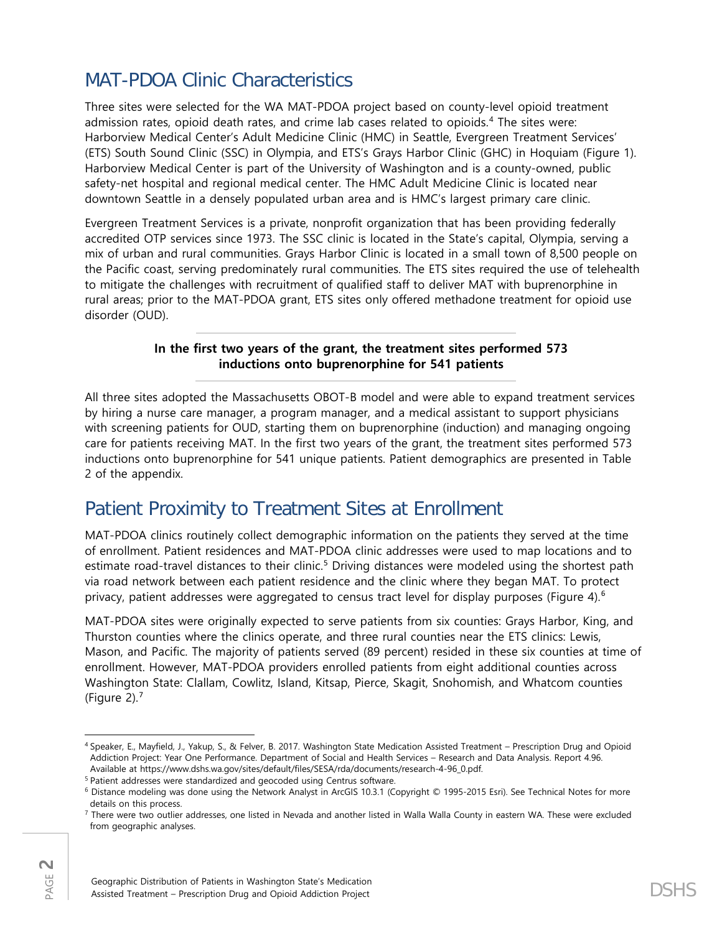## MAT-PDOA Clinic Characteristics

Three sites were selected for the WA MAT-PDOA project based on county-level opioid treatment admission rates, opioid death rates, and crime lab cases related to opioids.<sup>[4](#page-1-0)</sup> The sites were: Harborview Medical Center's Adult Medicine Clinic (HMC) in Seattle, Evergreen Treatment Services' (ETS) South Sound Clinic (SSC) in Olympia, and ETS's Grays Harbor Clinic (GHC) in Hoquiam (Figure 1). Harborview Medical Center is part of the University of Washington and is a county-owned, public safety-net hospital and regional medical center. The HMC Adult Medicine Clinic is located near downtown Seattle in a densely populated urban area and is HMC's largest primary care clinic.

Evergreen Treatment Services is a private, nonprofit organization that has been providing federally accredited OTP services since 1973. The SSC clinic is located in the State's capital, Olympia, serving a mix of urban and rural communities. Grays Harbor Clinic is located in a small town of 8,500 people on the Pacific coast, serving predominately rural communities. The ETS sites required the use of telehealth to mitigate the challenges with recruitment of qualified staff to deliver MAT with buprenorphine in rural areas; prior to the MAT-PDOA grant, ETS sites only offered methadone treatment for opioid use disorder (OUD).

### **In the first two years of the grant, the treatment sites performed 573 inductions onto buprenorphine for 541 patients**

All three sites adopted the Massachusetts OBOT-B model and were able to expand treatment services by hiring a nurse care manager, a program manager, and a medical assistant to support physicians with screening patients for OUD, starting them on buprenorphine (induction) and managing ongoing care for patients receiving MAT. In the first two years of the grant, the treatment sites performed 573 inductions onto buprenorphine for 541 unique patients. Patient demographics are presented in Table 2 of the appendix.

## Patient Proximity to Treatment Sites at Enrollment

MAT-PDOA clinics routinely collect demographic information on the patients they served at the time of enrollment. Patient residences and MAT-PDOA clinic addresses were used to map locations and to estimate road-travel distances to their clinic.<sup>[5](#page-1-1)</sup> Driving distances were modeled using the shortest path via road network between each patient residence and the clinic where they began MAT. To protect privacy, patient addresses were aggregated to census tract level for display purposes (Figure 4).<sup>[6](#page-1-2)</sup>

MAT-PDOA sites were originally expected to serve patients from six counties: Grays Harbor, King, and Thurston counties where the clinics operate, and three rural counties near the ETS clinics: Lewis, Mason, and Pacific. The majority of patients served (89 percent) resided in these six counties at time of enrollment. However, MAT-PDOA providers enrolled patients from eight additional counties across Washington State: Clallam, Cowlitz, Island, Kitsap, Pierce, Skagit, Snohomish, and Whatcom counties (Figure  $2$ ).<sup>[7](#page-1-3)</sup>

<span id="page-1-3"></span><span id="page-1-2"></span>PAGE **2**

<span id="page-1-0"></span> $\overline{\phantom{a}}$ <sup>4</sup> Speaker, E., Mayfield, J., Yakup, S., & Felver, B. 2017. Washington State Medication Assisted Treatment – Prescription Drug and Opioid Addiction Project: Year One Performance. Department of Social and Health Services – Research and Data Analysis. Report 4.96. Available at https://www.dshs.wa.gov/sites/default/files/SESA/rda/documents/research-4-96\_0.pdf.

<span id="page-1-1"></span><sup>5</sup> Patient addresses were standardized and geocoded using Centrus software.

<sup>6</sup> Distance modeling was done using the Network Analyst in ArcGIS 10.3.1 (Copyright © 1995-2015 Esri). See Technical Notes for more details on this process.

<sup>&</sup>lt;sup>7</sup> There were two outlier addresses, one listed in Nevada and another listed in Walla Walla County in eastern WA. These were excluded from geographic analyses.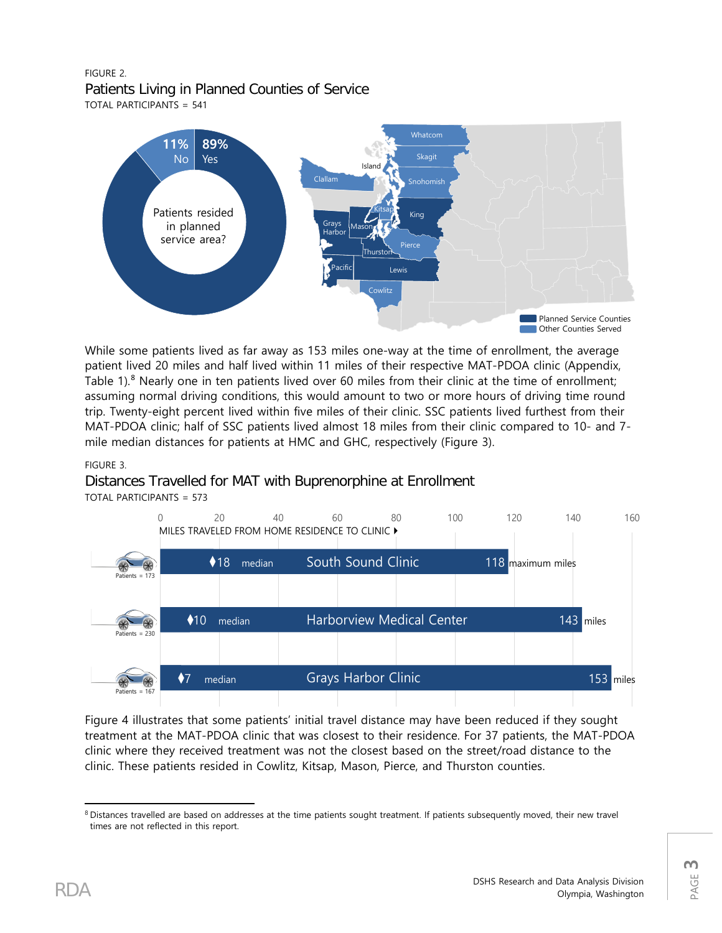### FIGURE 2. Patients Living in Planned Counties of Service TOTAL PARTICIPANTS = 541



While some patients lived as far away as 153 miles one-way at the time of enrollment, the average patient lived 20 miles and half lived within 11 miles of their respective MAT-PDOA clinic (Appendix, Table 1).<sup>[8](#page-2-0)</sup> Nearly one in ten patients lived over 60 miles from their clinic at the time of enrollment; assuming normal driving conditions, this would amount to two or more hours of driving time round trip. Twenty-eight percent lived within five miles of their clinic. SSC patients lived furthest from their MAT-PDOA clinic; half of SSC patients lived almost 18 miles from their clinic compared to 10- and 7 mile median distances for patients at HMC and GHC, respectively (Figure 3).

### FIGURE 3.

### Distances Travelled for MAT with Buprenorphine at Enrollment

TOTAL PARTICIPANTS = 573



Figure 4 illustrates that some patients' initial travel distance may have been reduced if they sought treatment at the MAT-PDOA clinic that was closest to their residence. For 37 patients, the MAT-PDOA clinic where they received treatment was not the closest based on the street/road distance to the clinic. These patients resided in Cowlitz, Kitsap, Mason, Pierce, and Thurston counties.

<span id="page-2-0"></span>l <sup>8</sup> Distances travelled are based on addresses at the time patients sought treatment. If patients subsequently moved, their new travel times are not reflected in this report.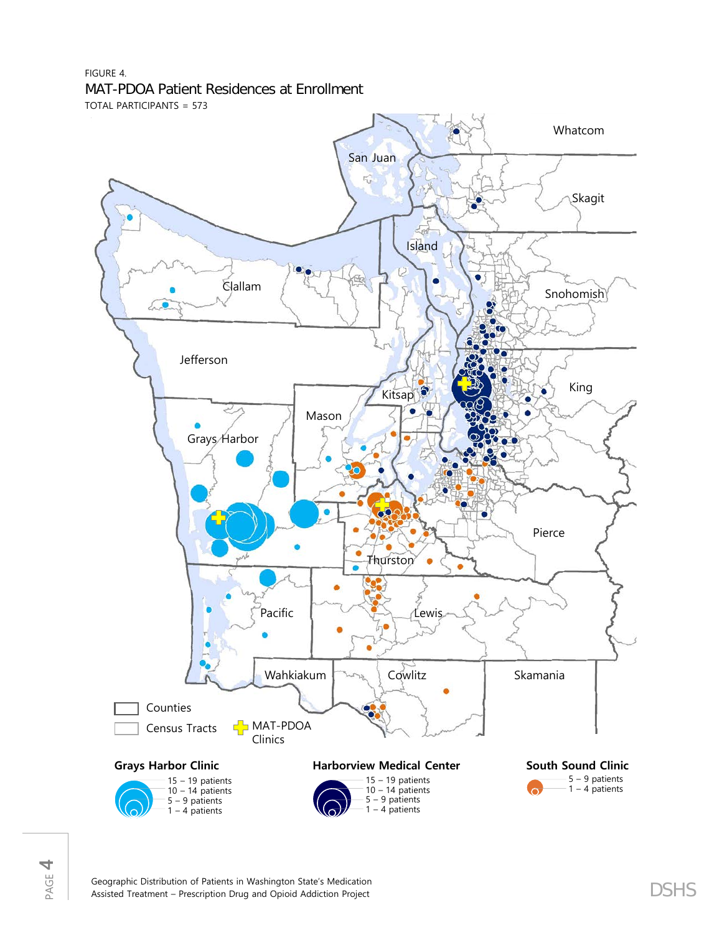## FIGURE 4. MAT-PDOA Patient Residences at Enrollment

TOTAL PARTICIPANTS = 573

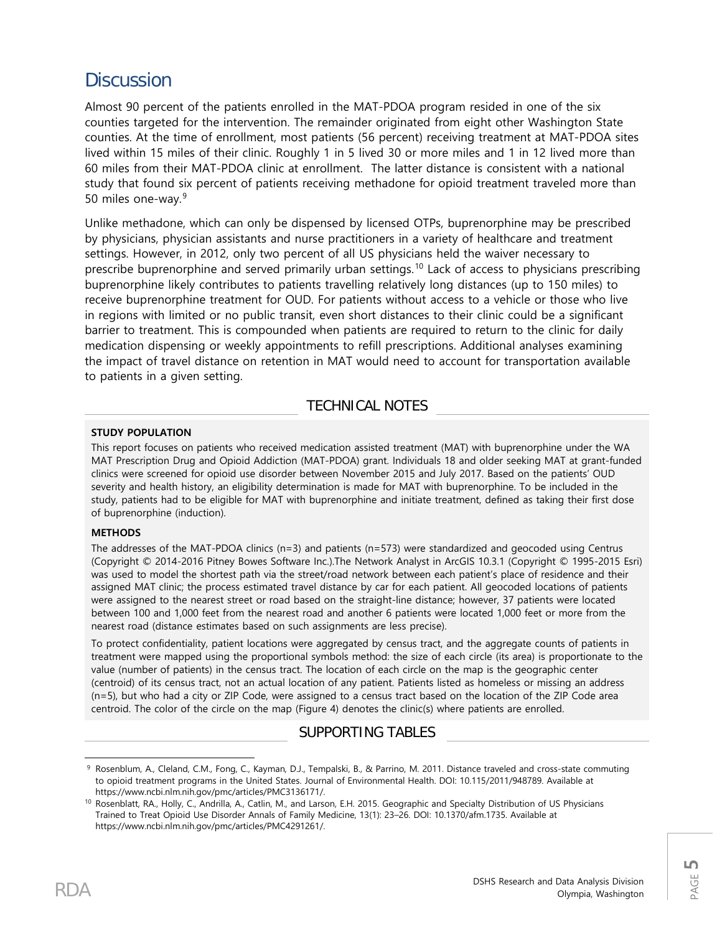## **Discussion**

Almost 90 percent of the patients enrolled in the MAT-PDOA program resided in one of the six counties targeted for the intervention. The remainder originated from eight other Washington State counties. At the time of enrollment, most patients (56 percent) receiving treatment at MAT-PDOA sites lived within 15 miles of their clinic. Roughly 1 in 5 lived 30 or more miles and 1 in 12 lived more than 60 miles from their MAT-PDOA clinic at enrollment. The latter distance is consistent with a national study that found six percent of patients receiving methadone for opioid treatment traveled more than 50 miles one-way.[9](#page-4-0)

Unlike methadone, which can only be dispensed by licensed OTPs, buprenorphine may be prescribed by physicians, physician assistants and nurse practitioners in a variety of healthcare and treatment settings. However, in 2012, only two percent of all US physicians held the waiver necessary to prescribe buprenorphine and served primarily urban settings.[10](#page-4-1) Lack of access to physicians prescribing buprenorphine likely contributes to patients travelling relatively long distances (up to 150 miles) to receive buprenorphine treatment for OUD. For patients without access to a vehicle or those who live in regions with limited or no public transit, even short distances to their clinic could be a significant barrier to treatment. This is compounded when patients are required to return to the clinic for daily medication dispensing or weekly appointments to refill prescriptions. Additional analyses examining the impact of travel distance on retention in MAT would need to account for transportation available to patients in a given setting.

### TECHNICAL NOTES

#### **STUDY POPULATION**

This report focuses on patients who received medication assisted treatment (MAT) with buprenorphine under the WA MAT Prescription Drug and Opioid Addiction (MAT-PDOA) grant. Individuals 18 and older seeking MAT at grant-funded clinics were screened for opioid use disorder between November 2015 and July 2017. Based on the patients' OUD severity and health history, an eligibility determination is made for MAT with buprenorphine. To be included in the study, patients had to be eligible for MAT with buprenorphine and initiate treatment, defined as taking their first dose of buprenorphine (induction).

#### **METHODS**

The addresses of the MAT-PDOA clinics (n=3) and patients (n=573) were standardized and geocoded using Centrus (Copyright © 2014-2016 Pitney Bowes Software Inc.).The Network Analyst in ArcGIS 10.3.1 (Copyright © 1995-2015 Esri) was used to model the shortest path via the street/road network between each patient's place of residence and their assigned MAT clinic; the process estimated travel distance by car for each patient. All geocoded locations of patients were assigned to the nearest street or road based on the straight-line distance; however, 37 patients were located between 100 and 1,000 feet from the nearest road and another 6 patients were located 1,000 feet or more from the nearest road (distance estimates based on such assignments are less precise).

To protect confidentiality, patient locations were aggregated by census tract, and the aggregate counts of patients in treatment were mapped using the proportional symbols method: the size of each circle (its area) is proportionate to the value (number of patients) in the census tract. The location of each circle on the map is the geographic center (centroid) of its census tract, not an actual location of any patient. Patients listed as homeless or missing an address (n=5), but who had a city or ZIP Code, were assigned to a census tract based on the location of the ZIP Code area centroid. The color of the circle on the map (Figure 4) denotes the clinic(s) where patients are enrolled.

### SUPPORTING TABLES

<span id="page-4-0"></span> $\overline{\phantom{a}}$ 9 Rosenblum, A., Cleland, C.M., Fong, C., Kayman, D.J., Tempalski, B., & Parrino, M. 2011. Distance traveled and cross-state commuting to opioid treatment programs in the United States. Journal of Environmental Health. DOI: 10.115/2011/948789. Available at https://www.ncbi.nlm.nih.gov/pmc/articles/PMC3136171/.

<span id="page-4-1"></span><sup>10</sup> Rosenblatt, RA., Holly, C., Andrilla, A., Catlin, M., and Larson, E.H. 2015. Geographic and Specialty Distribution of US Physicians Trained to Treat Opioid Use Disorder Annals of Family Medicine, 13(1): 23–26. DOI: [10.1370/afm.1735.](https://dx.doi.org/10.1370%2Fafm.1735) Available at [https://www.ncbi.nlm.nih.gov/pmc/articles/PMC4291261/.](https://www.ncbi.nlm.nih.gov/pmc/articles/PMC4291261/)